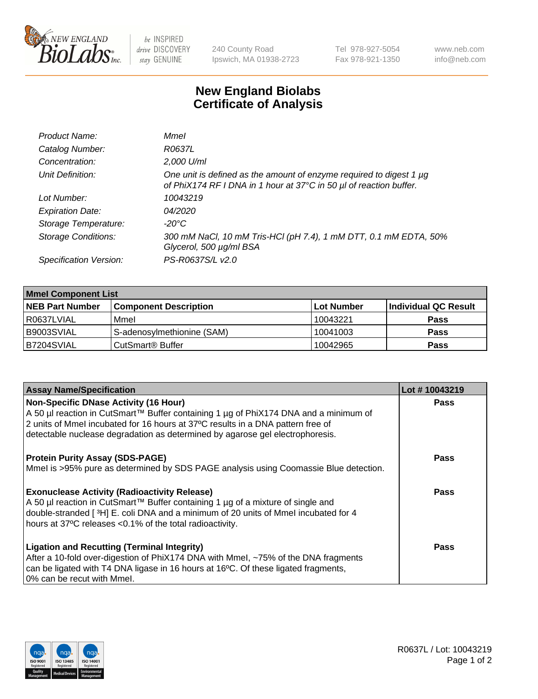

be INSPIRED drive DISCOVERY stay GENUINE

240 County Road Ipswich, MA 01938-2723 Tel 978-927-5054 Fax 978-921-1350

www.neb.com info@neb.com

## **New England Biolabs Certificate of Analysis**

| Product Name:              | Mmel                                                                                                                                      |
|----------------------------|-------------------------------------------------------------------------------------------------------------------------------------------|
| Catalog Number:            | R0637L                                                                                                                                    |
| Concentration:             | 2,000 U/ml                                                                                                                                |
| Unit Definition:           | One unit is defined as the amount of enzyme required to digest 1 µg<br>of PhiX174 RF I DNA in 1 hour at 37°C in 50 µl of reaction buffer. |
| Lot Number:                | 10043219                                                                                                                                  |
| <b>Expiration Date:</b>    | 04/2020                                                                                                                                   |
| Storage Temperature:       | -20°C                                                                                                                                     |
| <b>Storage Conditions:</b> | 300 mM NaCl, 10 mM Tris-HCl (pH 7.4), 1 mM DTT, 0.1 mM EDTA, 50%<br>Glycerol, 500 µg/ml BSA                                               |
| Specification Version:     | PS-R0637S/L v2.0                                                                                                                          |

| <b>Mmel Component List</b> |                                    |            |                      |  |
|----------------------------|------------------------------------|------------|----------------------|--|
| <b>NEB Part Number</b>     | <b>Component Description</b>       | Lot Number | Individual QC Result |  |
| R0637LVIAL                 | Mmel                               | 10043221   | <b>Pass</b>          |  |
| IB9003SVIAL                | S-adenosylmethionine (SAM)         | 10041003   | <b>Pass</b>          |  |
| IB7204SVIAL                | <b>CutSmart<sup>®</sup> Buffer</b> | 10042965   | <b>Pass</b>          |  |

| <b>Assay Name/Specification</b>                                                                                                                                                                                         | Lot #10043219 |
|-------------------------------------------------------------------------------------------------------------------------------------------------------------------------------------------------------------------------|---------------|
| <b>Non-Specific DNase Activity (16 Hour)</b><br>A 50 µl reaction in CutSmart™ Buffer containing 1 µg of PhiX174 DNA and a minimum of<br>2 units of Mmel incubated for 16 hours at 37°C results in a DNA pattern free of | <b>Pass</b>   |
| detectable nuclease degradation as determined by agarose gel electrophoresis.                                                                                                                                           |               |
| <b>Protein Purity Assay (SDS-PAGE)</b>                                                                                                                                                                                  | <b>Pass</b>   |
| Mmel is >95% pure as determined by SDS PAGE analysis using Coomassie Blue detection.                                                                                                                                    |               |
| <b>Exonuclease Activity (Radioactivity Release)</b>                                                                                                                                                                     | Pass          |
| A 50 µl reaction in CutSmart™ Buffer containing 1 µg of a mixture of single and<br>double-stranded [3H] E. coli DNA and a minimum of 20 units of Mmel incubated for 4                                                   |               |
| hours at 37°C releases <0.1% of the total radioactivity.                                                                                                                                                                |               |
| <b>Ligation and Recutting (Terminal Integrity)</b>                                                                                                                                                                      | <b>Pass</b>   |
| After a 10-fold over-digestion of PhiX174 DNA with Mmel, ~75% of the DNA fragments                                                                                                                                      |               |
| can be ligated with T4 DNA ligase in 16 hours at 16°C. Of these ligated fragments,<br>0% can be recut with Mmel.                                                                                                        |               |